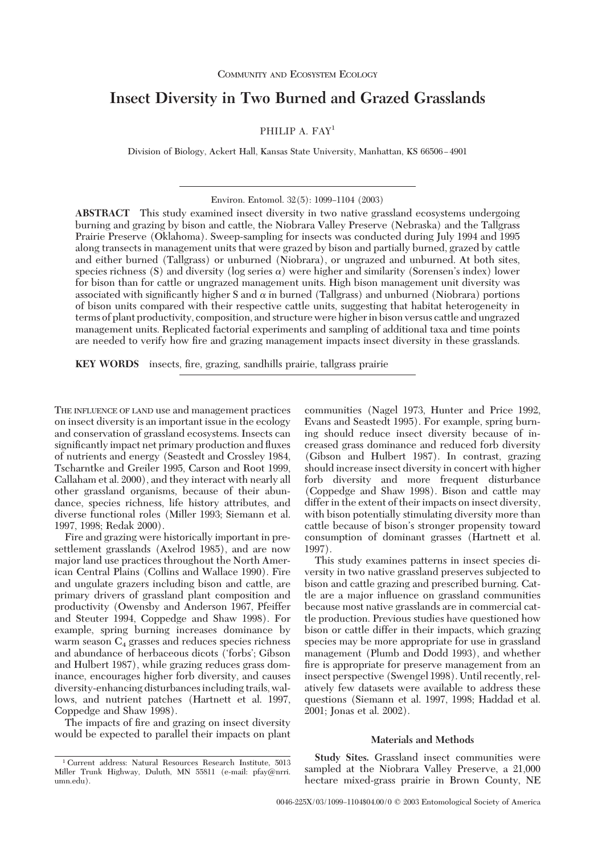# **Insect Diversity in Two Burned and Grazed Grasslands**

# PHILIP A. FAY<sup>1</sup>

Division of Biology, Ackert Hall, Kansas State University, Manhattan, KS 66506-4901

Environ. Entomol. 32(5): 1099-1104 (2003)

**ABSTRACT** This study examined insect diversity in two native grassland ecosystems undergoing burning and grazing by bison and cattle, the Niobrara Valley Preserve (Nebraska) and the Tallgrass Prairie Preserve (Oklahoma). Sweep-sampling for insects was conducted during July 1994 and 1995 along transects in management units that were grazed by bison and partially burned, grazed by cattle and either burned (Tallgrass) or unburned (Niobrara), or ungrazed and unburned. At both sites, species richness (S) and diversity (log series  $\alpha$ ) were higher and similarity (Sorensen's index) lower for bison than for cattle or ungrazed management units. High bison management unit diversity was associated with significantly higher S and  $\alpha$  in burned (Tallgrass) and unburned (Niobrara) portions of bison units compared with their respective cattle units, suggesting that habitat heterogeneity in terms of plant productivity, composition, and structure were higher in bison versus cattle and ungrazed management units. Replicated factorial experiments and sampling of additional taxa and time points are needed to verify how fire and grazing management impacts insect diversity in these grasslands.

**KEY WORDS** insects, fire, grazing, sandhills prairie, tallgrass prairie

THE INFLUENCE OF LAND use and management practices on insect diversity is an important issue in the ecology and conservation of grassland ecosystems. Insects can significantly impact net primary production and fluxes of nutrients and energy (Seastedt and Crossley 1984, Tscharntke and Greiler 1995, Carson and Root 1999, Callaham et al. 2000), and they interact with nearly all other grassland organisms, because of their abundance, species richness, life history attributes, and diverse functional roles (Miller 1993; Siemann et al. 1997, 1998; Redak 2000).

Fire and grazing were historically important in presettlement grasslands (Axelrod 1985), and are now major land use practices throughout the North American Central Plains (Collins and Wallace 1990). Fire and ungulate grazers including bison and cattle, are primary drivers of grassland plant composition and productivity (Owensby and Anderson 1967, Pfeiffer and Steuter 1994, Coppedge and Shaw 1998). For example, spring burning increases dominance by warm season  $C_4$  grasses and reduces species richness and abundance of herbaceous dicots ('forbs'; Gibson and Hulbert 1987), while grazing reduces grass dominance, encourages higher forb diversity, and causes diversity-enhancing disturbances including trails, wallows, and nutrient patches (Hartnett et al. 1997, Coppedge and Shaw 1998).

The impacts of fire and grazing on insect diversity would be expected to parallel their impacts on plant

communities (Nagel 1973, Hunter and Price 1992, Evans and Seastedt 1995). For example, spring burning should reduce insect diversity because of increased grass dominance and reduced forb diversity (Gibson and Hulbert 1987). In contrast, grazing should increase insect diversity in concert with higher forb diversity and more frequent disturbance (Coppedge and Shaw 1998). Bison and cattle may differ in the extent of their impacts on insect diversity, with bison potentially stimulating diversity more than cattle because of bison's stronger propensity toward consumption of dominant grasses (Hartnett et al. 1997).

This study examines patterns in insect species diversity in two native grassland preserves subjected to bison and cattle grazing and prescribed burning. Cattle are a major inßuence on grassland communities because most native grasslands are in commercial cattle production. Previous studies have questioned how bison or cattle differ in their impacts, which grazing species may be more appropriate for use in grassland management (Plumb and Dodd 1993), and whether fire is appropriate for preserve management from an insect perspective (Swengel 1998). Until recently, relatively few datasets were available to address these questions (Siemann et al. 1997, 1998; Haddad et al. 2001; Jonas et al. 2002).

#### **Materials and Methods**

**Study Sites.** Grassland insect communities were sampled at the Niobrara Valley Preserve, a 21,000 hectare mixed-grass prairie in Brown County, NE

<sup>1</sup> Current address: Natural Resources Research Institute, 5013 Miller Trunk Highway, Duluth, MN 55811 (e-mail: pfay@nrri. umn.edu).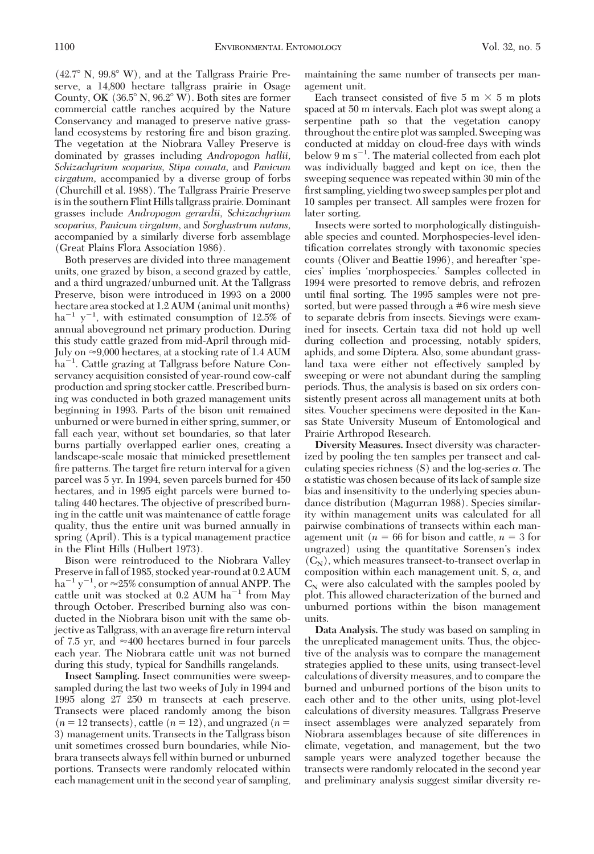$(42.7^\circ \text{ N}, 99.8^\circ \text{ W})$ , and at the Tallgrass Prairie Preserve, a 14,800 hectare tallgrass prairie in Osage County, OK  $(36.5^{\circ} N, 96.2^{\circ} W)$ . Both sites are former commercial cattle ranches acquired by the Nature Conservancy and managed to preserve native grassland ecosystems by restoring fire and bison grazing. The vegetation at the Niobrara Valley Preserve is dominated by grasses including *Andropogon hallii, Schizachyrium scoparius, Stipa comata,* and *Panicum virgatum,* accompanied by a diverse group of forbs (Churchill et al. 1988). The Tallgrass Prairie Preserve isin the southern Flint Hills tallgrass prairie. Dominant grasses include *Andropogon gerardii, Schizachyrium scoparius, Panicum virgatum,* and *Sorghastrum nutans,* accompanied by a similarly diverse forb assemblage (Great Plains Flora Association 1986).

Both preserves are divided into three management units, one grazed by bison, a second grazed by cattle, and a third ungrazed/unburned unit. At the Tallgrass Preserve, bison were introduced in 1993 on a 2000 hectare area stocked at 1.2 AUM (animal unit months)  $ha^{-1}$  y<sup>-1</sup>, with estimated consumption of 12.5% of annual aboveground net primary production. During this study cattle grazed from mid-April through mid-July on  $\approx$  9,000 hectares, at a stocking rate of 1.4 AUM ha<sup>-1</sup>. Cattle grazing at Tallgrass before Nature Conservancy acquisition consisted of year-round cow-calf production and spring stocker cattle. Prescribed burning was conducted in both grazed management units beginning in 1993. Parts of the bison unit remained unburned or were burned in either spring, summer, or fall each year, without set boundaries, so that later burns partially overlapped earlier ones, creating a landscape-scale mosaic that mimicked presettlement fire patterns. The target fire return interval for a given parcel was 5 yr. In 1994, seven parcels burned for 450 hectares, and in 1995 eight parcels were burned totaling 440 hectares. The objective of prescribed burning in the cattle unit was maintenance of cattle forage quality, thus the entire unit was burned annually in spring (April). This is a typical management practice in the Flint Hills (Hulbert 1973).

Bison were reintroduced to the Niobrara Valley Preserve in fall of 1985, stocked year-round at 0.2 AUM  $ha^{-1}y^{-1}$ , or  $\approx$  25% consumption of annual ANPP. The cattle unit was stocked at  $0.2$  AUM  $ha^{-1}$  from May through October. Prescribed burning also was conducted in the Niobrara bison unit with the same objective as Tallgrass, with an average fire return interval of 7.5 yr, and  $\approx 400$  hectares burned in four parcels each year. The Niobrara cattle unit was not burned during this study, typical for Sandhills rangelands.

**Insect Sampling.** Insect communities were sweepsampled during the last two weeks of July in 1994 and 1995 along 27 250 m transects at each preserve. Transects were placed randomly among the bison  $(n = 12$  transects), cattle  $(n = 12)$ , and ungrazed  $(n = 12)$ 3) management units. Transects in the Tallgrass bison unit sometimes crossed burn boundaries, while Niobrara transects always fell within burned or unburned portions. Transects were randomly relocated within each management unit in the second year of sampling, maintaining the same number of transects per management unit.

Each transect consisted of five 5 m  $\times$  5 m plots spaced at 50 m intervals. Each plot was swept along a serpentine path so that the vegetation canopy throughout the entire plot was sampled. Sweeping was conducted at midday on cloud-free days with winds below 9 m s<sup>-1</sup>. The material collected from each plot was individually bagged and kept on ice, then the sweeping sequence was repeated within 30 min of the first sampling, yielding two sweep samples per plot and 10 samples per transect. All samples were frozen for later sorting.

Insects were sorted to morphologically distinguishable species and counted. Morphospecies-level identification correlates strongly with taxonomic species counts (Oliver and Beattie 1996), and hereafter 'species' implies 'morphospecies.' Samples collected in 1994 were presorted to remove debris, and refrozen until final sorting. The 1995 samples were not presorted, but were passed through a #6 wire mesh sieve to separate debris from insects. Sievings were examined for insects. Certain taxa did not hold up well during collection and processing, notably spiders, aphids, and some Diptera. Also, some abundant grassland taxa were either not effectively sampled by sweeping or were not abundant during the sampling periods. Thus, the analysis is based on six orders consistently present across all management units at both sites. Voucher specimens were deposited in the Kansas State University Museum of Entomological and Prairie Arthropod Research.

**Diversity Measures.** Insect diversity was characterized by pooling the ten samples per transect and calculating species richness  $(S)$  and the log-series  $\alpha$ . The  $\alpha$  statistic was chosen because of its lack of sample size bias and insensitivity to the underlying species abundance distribution (Magurran 1988). Species similarity within management units was calculated for all pairwise combinations of transects within each management unit ( $n = 66$  for bison and cattle,  $n = 3$  for ungrazed) using the quantitative Sorensen's index  $(C_N)$ , which measures transect-to-transect overlap in composition within each management unit. S,  $\alpha$ , and  $C_N$  were also calculated with the samples pooled by plot. This allowed characterization of the burned and unburned portions within the bison management units.

**Data Analysis.** The study was based on sampling in the unreplicated management units. Thus, the objective of the analysis was to compare the management strategies applied to these units, using transect-level calculations of diversity measures, and to compare the burned and unburned portions of the bison units to each other and to the other units, using plot-level calculations of diversity measures. Tallgrass Preserve insect assemblages were analyzed separately from Niobrara assemblages because of site differences in climate, vegetation, and management, but the two sample years were analyzed together because the transects were randomly relocated in the second year and preliminary analysis suggest similar diversity re-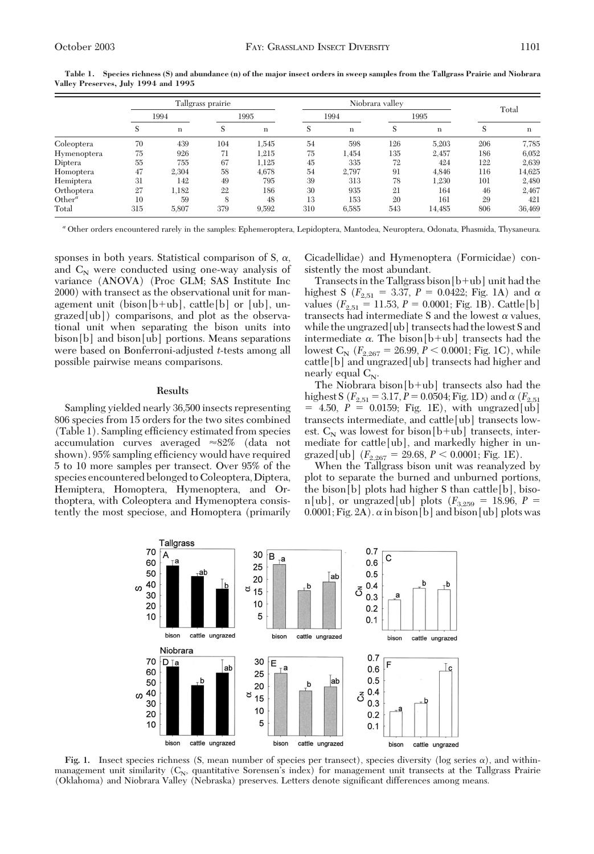|             | Tallgrass prairie |             |      |             | Niobrara valley |       |      |             |       |        |
|-------------|-------------------|-------------|------|-------------|-----------------|-------|------|-------------|-------|--------|
|             | 1994              |             | 1995 |             | 1994            |       | 1995 |             | Total |        |
|             | S                 | $\mathbf n$ |      | $\mathbf n$ | S               | n     | S    | $\mathbf n$ | S     | n      |
| Coleoptera  | 70                | 439         | 104  | 1,545       | 54              | 598   | 126  | 5,203       | 206   | 7,785  |
| Hymenoptera | 75                | 926         | 71   | 1.215       | 75              | 1,454 | 135  | 2,457       | 186   | 6,052  |
| Diptera     | 55                | 755         | 67   | 1.125       | 45              | 335   | 72   | 424         | 122   | 2,639  |
| Homoptera   | 47                | 2.304       | 58   | 4.678       | 54              | 2,797 | 91   | 4,846       | 116   | 14,625 |
| Hemiptera   | 31                | 142         | 49   | 795         | 39              | 313   | 78   | 1.230       | 101   | 2,480  |
| Orthoptera  | 27                | 1,182       | 22   | 186         | 30              | 935   | 21   | 164         | 46    | 2,467  |
| $Other^a$   | 10                | 59          | 8    | 48          | 13              | 153   | 20   | 161         | 29    | 421    |
| Total       | 315               | 5,807       | 379  | 9,592       | 310             | 6,585 | 543  | 14,485      | 806   | 36,469 |

**Table 1. Species richness (S) and abundance (n) of the major insect orders in sweep samples from the Tallgrass Prairie and Niobrara Valley Preserves, July 1994 and 1995**

*<sup>a</sup>* Other orders encountered rarely in the samples: Ephemeroptera, Lepidoptera, Mantodea, Neuroptera, Odonata, Phasmida, Thysaneura.

sponses in both years. Statistical comparison of S,  $\alpha$ , and  $C_N$  were conducted using one-way analysis of variance (ANOVA) (Proc GLM; SAS Institute Inc 2000) with transect as the observational unit for management unit (bison $[b+ub]$ , cattle $[b]$  or  $[ub]$ , ungrazed[ub]) comparisons, and plot as the observational unit when separating the bison units into bison[b] and bison[ub] portions. Means separations were based on Bonferroni-adjusted *t*-tests among all possible pairwise means comparisons.

#### **Results**

Sampling yielded nearly 36,500 insects representing 806 species from 15 orders for the two sites combined (Table 1). Sampling efficiency estimated from species accumulation curves averaged  $\approx 82\%$  (data not shown). 95% sampling efficiency would have required 5 to 10 more samples per transect. Over 95% of the species encountered belonged to Coleoptera, Diptera, Hemiptera, Homoptera, Hymenoptera, and Orthoptera, with Coleoptera and Hymenoptera consistently the most speciose, and Homoptera (primarily Cicadellidae) and Hymenoptera (Formicidae) consistently the most abundant.

Transects in the Tallgrass bison  $[b+ub]$  unit had the highest S ( $F_{2,51} = 3.37, P = 0.0422$ ; Fig. 1A) and  $\alpha$ values  $(F_{2,51} = 11.53, P = 0.0001; Fig. 1B)$ . Cattle[b] transects had intermediate S and the lowest  $\alpha$  values, while the ungrazed[ub] transects had thelowest S and intermediate  $\alpha$ . The bison [b+ub] transects had the lowest  $C_N$  ( $F_{2,267}$  = 26.99,  $P < 0.0001$ ; Fig. 1C), while cattle[b] and ungrazed[ub] transects had higher and nearly equal  $C_N$ .

The Niobrara bison $[b+ub]$  transects also had the highest S ( $F_{2,51} = 3.17, P = 0.0504$ ; Fig. 1D) and  $\alpha$  ( $F_{2,51}$  $= 4.50, P = 0.0159;$  Fig. 1E), with ungrazed [ub] transects intermediate, and cattle[ub] transects lowest.  $C_N$  was lowest for bison[b+ub] transects, intermediate for cattle[ub], and markedly higher in ungrazed[ub]  $(F_{2,267} = 29.68, P < 0.0001;$  Fig. 1E).

When the Tallgrass bison unit was reanalyzed by plot to separate the burned and unburned portions, the bison[b] plots had higher S than cattle[b], biso $n[ub]$ , or ungrazed[ub] plots ( $F_{3,259} = 18.96$ ,  $P =$  $0.0001;$  Fig. 2A).  $\alpha$  in bison[b] and bison[ub] plots was



**Fig. 1.** Insect species richness (S, mean number of species per transect), species diversity (log series  $\alpha$ ), and withinmanagement unit similarity  $(C_N,$  quantitative Sorensen's index) for management unit transects at the Tallgrass Prairie (Oklahoma) and Niobrara Valley (Nebraska) preserves. Letters denote significant differences among means.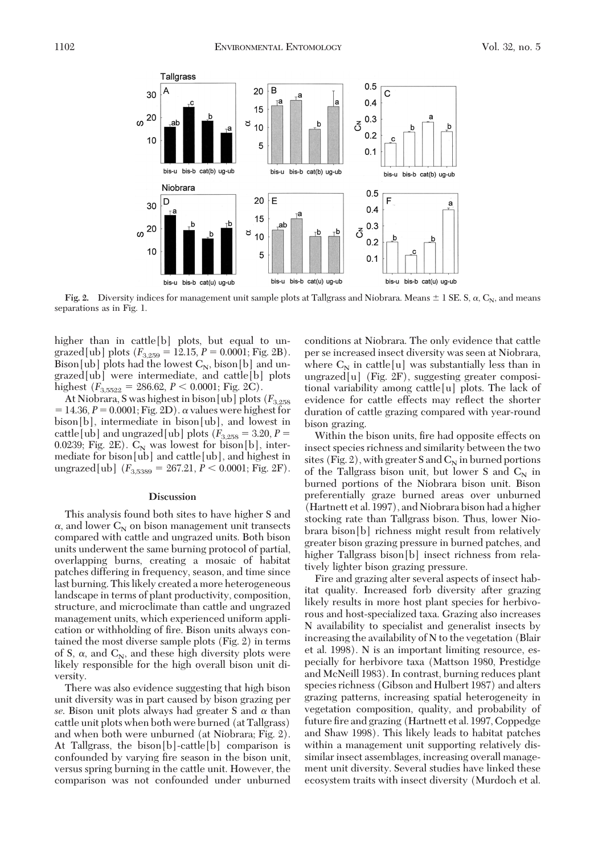

**Fig. 2.** Diversity indices for management unit sample plots at Tallgrass and Niobrara. Means  $\pm$  1 SE. S,  $\alpha$ ,  $C_N$ , and means separations as in Fig. 1.

higher than in cattle[b] plots, but equal to ungrazed[ub] plots  $(F_{3,259} = 12.15, P = 0.0001; Fig. 2B)$ . Bison[ub] plots had the lowest  $C_N$ , bison[b] and ungrazed[ub] were intermediate, and cattle[b] plots highest  $(F_{3,5522} = 286.62, P < 0.0001;$  Fig. 2C).

At Niobrara, S was highest in bison [ub] plots ( $F_{3,258}$ )  $= 14.36, P = 0.0001; Fig. 2D$ .  $\alpha$  values were highest for bison[b], intermediate in bison[ub], and lowest in cattle[ub] and ungrazed[ub] plots  $(F_{3,258} = 3.20, P =$ 0.0239; Fig. 2E).  $C_N$  was lowest for bison[b], intermediate for bison[ub] and cattle[ub], and highest in ungrazed[ub]  $(F_{3.5389} = 267.21, P \le 0.0001; Fig. 2F).$ 

## **Discussion**

This analysis found both sites to have higher S and  $\alpha$ , and lower  $C_N$  on bison management unit transects compared with cattle and ungrazed units. Both bison units underwent the same burning protocol of partial, overlapping burns, creating a mosaic of habitat patches differing in frequency, season, and time since last burning. This likely created a more heterogeneous landscape in terms of plant productivity, composition, structure, and microclimate than cattle and ungrazed management units, which experienced uniform application or withholding of fire. Bison units always contained the most diverse sample plots (Fig. 2) in terms of S,  $\alpha$ , and C<sub>N</sub>, and these high diversity plots were likely responsible for the high overall bison unit diversity.

There was also evidence suggesting that high bison unit diversity was in part caused by bison grazing per *se*. Bison unit plots always had greater S and  $\alpha$  than cattle unit plots when both were burned (at Tallgrass) and when both were unburned (at Niobrara; Fig. 2). At Tallgrass, the bison[b]-cattle[b] comparison is confounded by varying fire season in the bison unit, versus spring burning in the cattle unit. However, the comparison was not confounded under unburned conditions at Niobrara. The only evidence that cattle per se increased insect diversity was seen at Niobrara, where  $C_N$  in cattle[u] was substantially less than in ungrazed[u] (Fig. 2F), suggesting greater compositional variability among cattle[u] plots. The lack of evidence for cattle effects may reßect the shorter duration of cattle grazing compared with year-round bison grazing.

Within the bison units, fire had opposite effects on insect species richness and similarity between the two sites (Fig. 2), with greater S and  $C_N$  in burned portions of the Tallgrass bison unit, but lower S and  $C_N$  in burned portions of the Niobrara bison unit. Bison preferentially graze burned areas over unburned (Hartnett et al. 1997), and Niobrara bison had a higher stocking rate than Tallgrass bison. Thus, lower Niobrara bison[b] richness might result from relatively greater bison grazing pressure in burned patches, and higher Tallgrass bison[b] insect richness from relatively lighter bison grazing pressure.

Fire and grazing alter several aspects of insect habitat quality. Increased forb diversity after grazing likely results in more host plant species for herbivorous and host-specialized taxa. Grazing also increases N availability to specialist and generalist insects by increasing the availability of N to the vegetation (Blair et al. 1998). N is an important limiting resource, especially for herbivore taxa (Mattson 1980, Prestidge and McNeill 1983). In contrast, burning reduces plant species richness (Gibson and Hulbert 1987) and alters grazing patterns, increasing spatial heterogeneity in vegetation composition, quality, and probability of future fire and grazing (Hartnett et al. 1997, Coppedge and Shaw 1998). This likely leads to habitat patches within a management unit supporting relatively dissimilar insect assemblages, increasing overall management unit diversity. Several studies have linked these ecosystem traits with insect diversity (Murdoch et al.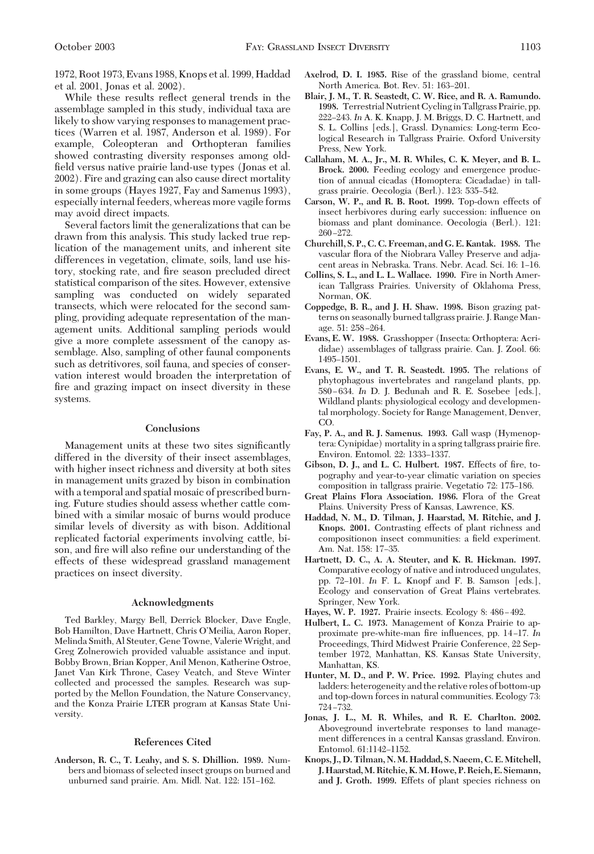1972, Root 1973, Evans 1988, Knops et al. 1999, Haddad et al. 2001, Jonas et al. 2002).

While these results reßect general trends in the assemblage sampled in this study, individual taxa are likely to show varying responses to management practices (Warren et al. 1987, Anderson et al. 1989). For example, Coleopteran and Orthopteran families showed contrasting diversity responses among oldfield versus native prairie land-use types (Jonas et al. 2002). Fire and grazing can also cause direct mortality in some groups (Hayes 1927, Fay and Samenus 1993), especially internal feeders, whereas more vagile forms may avoid direct impacts.

Several factors limit the generalizations that can be drawn from this analysis. This study lacked true replication of the management units, and inherent site differences in vegetation, climate, soils, land use history, stocking rate, and fire season precluded direct statistical comparison of the sites. However, extensive sampling was conducted on widely separated transects, which were relocated for the second sampling, providing adequate representation of the management units. Additional sampling periods would give a more complete assessment of the canopy assemblage. Also, sampling of other faunal components such as detritivores, soil fauna, and species of conservation interest would broaden the interpretation of fire and grazing impact on insect diversity in these systems.

### **Conclusions**

Management units at these two sites significantly differed in the diversity of their insect assemblages, with higher insect richness and diversity at both sites in management units grazed by bison in combination with a temporal and spatial mosaic of prescribed burning. Future studies should assess whether cattle combined with a similar mosaic of burns would produce similar levels of diversity as with bison. Additional replicated factorial experiments involving cattle, bison, and fire will also refine our understanding of the effects of these widespread grassland management practices on insect diversity.

## **Acknowledgments**

Ted Barkley, Margy Bell, Derrick Blocker, Dave Engle, Bob Hamilton, Dave Hartnett, Chris O'Meilia, Aaron Roper, Melinda Smith, Al Steuter, Gene Towne, Valerie Wright, and Greg Zolnerowich provided valuable assistance and input. Bobby Brown, Brian Kopper, Anil Menon, Katherine Ostroe, Janet Van Kirk Throne, Casey Veatch, and Steve Winter collected and processed the samples. Research was supported by the Mellon Foundation, the Nature Conservancy, and the Konza Prairie LTER program at Kansas State University.

#### **References Cited**

**Anderson, R. C., T. Leahy, and S. S. Dhillion. 1989.** Numbers and biomass of selected insect groups on burned and unburned sand prairie. Am. Midl. Nat. 122: 151-162.

- **Axelrod, D. I. 1985.** Rise of the grassland biome, central North America. Bot. Rev. 51: 163-201.
- **Blair, J. M., T. R. Seastedt, C. W. Rice, and R. A. Ramundo. 1998.** Terrestrial Nutrient Cyclingin Tallgrass Prairie, pp. 222-243. *In* A. K. Knapp, J. M. Briggs, D. C. Hartnett, and S. L. Collins [eds.], Grassl. Dynamics: Long-term Ecological Research in Tallgrass Prairie. Oxford University Press, New York.
- **Callaham, M. A., Jr., M. R. Whiles, C. K. Meyer, and B. L. Brock. 2000.** Feeding ecology and emergence production of annual cicadas (Homoptera: Cicadadae) in tallgrass prairie. Oecologia (Berl.). 123: 535–542.
- **Carson, W. P., and R. B. Root. 1999.** Top-down effects of insect herbivores during early succession: inßuence on biomass and plant dominance. Oecologia (Berl.). 121:  $260 - 272.$
- **Churchill, S. P., C. C. Freeman, and G. E. Kantak. 1988.** The vascular flora of the Niobrara Valley Preserve and adjacent areas in Nebraska. Trans. Nebr. Acad. Sci. 16: 1-16.
- **Collins, S. L., and L. L. Wallace. 1990.** Fire in North American Tallgrass Prairies. University of Oklahoma Press, Norman, OK.
- **Coppedge, B. R., and J. H. Shaw. 1998.** Bison grazing patterns on seasonally burned tallgrass prairie. J. Range Manage. 51: 258-264.
- **Evans, E. W. 1988.** Grasshopper (Insecta: Orthoptera: Acrididae) assemblages of tallgrass prairie. Can. J. Zool. 66: 1495-1501.
- **Evans, E. W., and T. R. Seastedt. 1995.** The relations of phytophagous invertebrates and rangeland plants, pp. 580 Ð 634. *In* D. J. Bedunah and R. E. Sosebee [eds.], Wildland plants: physiological ecology and developmental morphology. Society for Range Management, Denver, CO.
- **Fay, P. A., and R. J. Samenus. 1993.** Gall wasp (Hymenoptera: Cynipidae) mortality in a spring tallgrass prairie fire. Environ. Entomol. 22: 1333-1337.
- Gibson, D. J., and L. C. Hulbert. 1987. Effects of fire, topography and year-to-year climatic variation on species composition in tallgrass prairie. Vegetatio 72: 175–186.
- Great Plains Flora Association. 1986. Flora of the Great Plains. University Press of Kansas, Lawrence, KS.
- **Haddad, N. M., D. Tilman, J. Haarstad, M. Ritchie, and J. Knops. 2001.** Contrasting effects of plant richness and compositionon insect communities: a field experiment. Am. Nat. 158: 17-35.
- **Hartnett, D. C., A. A. Steuter, and K. R. Hickman. 1997.** Comparative ecology of native and introduced ungulates, pp. 72-101. *In* F. L. Knopf and F. B. Samson [eds.], Ecology and conservation of Great Plains vertebrates. Springer, New York.
- Hayes, W. P. 1927. Prairie insects. Ecology 8: 486-492.
- **Hulbert, L. C. 1973.** Management of Konza Prairie to approximate pre-white-man fire influences, pp. 14-17. In Proceedings, Third Midwest Prairie Conference, 22 September 1972, Manhattan, KS. Kansas State University, Manhattan, KS.
- **Hunter, M. D., and P. W. Price. 1992.** Playing chutes and ladders: heterogeneity and the relative roles of bottom-up and top-down forces in natural communities. Ecology 73: 724-732.
- **Jonas, J. L., M. R. Whiles, and R. E. Charlton. 2002.** Aboveground invertebrate responses to land management differences in a central Kansas grassland. Environ. Entomol. 61:1142-1152.
- **Knops, J., D. Tilman, N. M. Haddad, S. Naeem, C. E. Mitchell, J. Haarstad,M. Ritchie, K.M. Howe, P. Reich, E. Siemann, and J. Groth. 1999.** Effets of plant species richness on